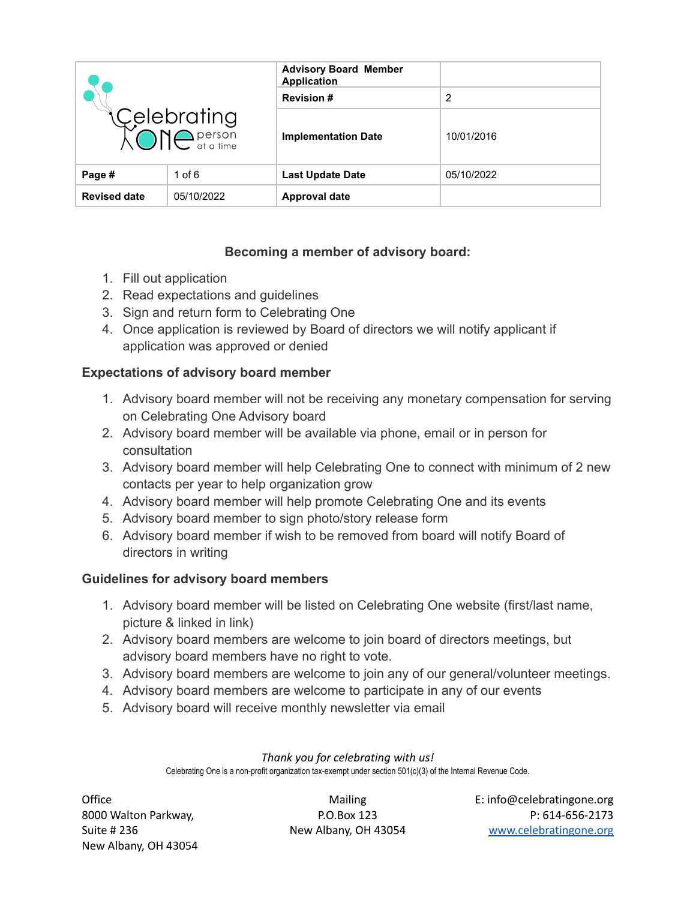| Celebrating<br><b>CONC</b> <i>person</i> |            | <b>Advisory Board Member</b><br><b>Application</b> |            |
|------------------------------------------|------------|----------------------------------------------------|------------|
|                                          |            | <b>Revision #</b>                                  | 2          |
|                                          |            | <b>Implementation Date</b>                         | 10/01/2016 |
| Page #                                   | 1 of $6$   | <b>Last Update Date</b>                            | 05/10/2022 |
| <b>Revised date</b>                      | 05/10/2022 | <b>Approval date</b>                               |            |

# **Becoming a member of advisory board:**

- 1. Fill out application
- 2. Read expectations and guidelines
- 3. Sign and return form to Celebrating One
- 4. Once application is reviewed by Board of directors we will notify applicant if application was approved or denied

## **Expectations of advisory board member**

- 1. Advisory board member will not be receiving any monetary compensation for serving on Celebrating One Advisory board
- 2. Advisory board member will be available via phone, email or in person for consultation
- 3. Advisory board member will help Celebrating One to connect with minimum of 2 new contacts per year to help organization grow
- 4. Advisory board member will help promote Celebrating One and its events
- 5. Advisory board member to sign photo/story release form
- 6. Advisory board member if wish to be removed from board will notify Board of directors in writing

## **Guidelines for advisory board members**

- 1. Advisory board member will be listed on Celebrating One website (first/last name, picture & linked in link)
- 2. Advisory board members are welcome to join board of directors meetings, but advisory board members have no right to vote.
- 3. Advisory board members are welcome to join any of our general/volunteer meetings.
- 4. Advisory board members are welcome to participate in any of our events
- 5. Advisory board will receive monthly newsletter via email

#### *Thank you for celebrating with us!*

Celebrating One is a non-profit organization tax-exempt under section 501(c)(3) of the Internal Revenue Code.

New Albany, OH 43054

Office **Contracts Contracts** Mailing E: info@celebratingone.org 8000 Walton Parkway, The R.O.Box 123 R.O.Box 123 P: 614-656-2173 Suite # 236 New Albany, OH 43054 [www.celebratingone.org](http://www.celebratingone.org)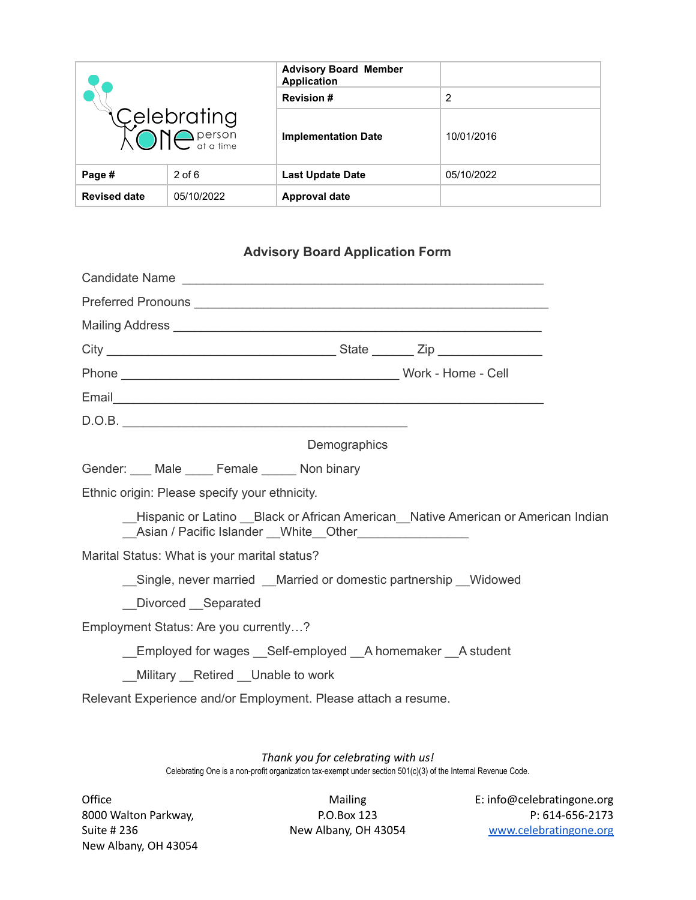| Celebrating<br>XONC <sup>person</sup> |            | <b>Advisory Board Member</b><br><b>Application</b> |            |
|---------------------------------------|------------|----------------------------------------------------|------------|
|                                       |            | <b>Revision #</b>                                  | 2          |
|                                       |            | <b>Implementation Date</b>                         | 10/01/2016 |
| Page #                                | $2$ of 6   | <b>Last Update Date</b>                            | 05/10/2022 |
| <b>Revised date</b>                   | 05/10/2022 | <b>Approval date</b>                               |            |

# **Advisory Board Application Form**

| Candidate Name                                                                                                                                                                                                                       |              |  |  |
|--------------------------------------------------------------------------------------------------------------------------------------------------------------------------------------------------------------------------------------|--------------|--|--|
|                                                                                                                                                                                                                                      |              |  |  |
| Mailing Address <b>contract and the Contract of Address and Address contract and address and address to the Contract of Address and Address and Address and Address and Address and Address and Address and Address and Address </b> |              |  |  |
|                                                                                                                                                                                                                                      |              |  |  |
|                                                                                                                                                                                                                                      |              |  |  |
| Email experience and the contract of the contract of the contract of the contract of the contract of the contract of the contract of the contract of the contract of the contract of the contract of the contract of the contr       |              |  |  |
|                                                                                                                                                                                                                                      |              |  |  |
|                                                                                                                                                                                                                                      | Demographics |  |  |
| Gender: ___ Male ____ Female _____ Non binary                                                                                                                                                                                        |              |  |  |
| Ethnic origin: Please specify your ethnicity.                                                                                                                                                                                        |              |  |  |
| Hispanic or Latino Black or African American Native American or American Indian<br>__Asian / Pacific Islander __White__Other_________________                                                                                        |              |  |  |
| Marital Status: What is your marital status?                                                                                                                                                                                         |              |  |  |
| Single, never married Married or domestic partnership Widowed                                                                                                                                                                        |              |  |  |
| Divorced Separated                                                                                                                                                                                                                   |              |  |  |
| Employment Status: Are you currently?                                                                                                                                                                                                |              |  |  |
| Employed for wages Self-employed A homemaker A student                                                                                                                                                                               |              |  |  |
| _Military _Retired _Unable to work                                                                                                                                                                                                   |              |  |  |
| Relevant Experience and/or Employment. Please attach a resume.                                                                                                                                                                       |              |  |  |
|                                                                                                                                                                                                                                      |              |  |  |

*Thank you for celebrating with us!* Celebrating One is a non-profit organization tax-exempt under section 501(c)(3) of the Internal Revenue Code.

New Albany, OH 43054

Office **Contract Contract Contract Contract Contract Contract Contract Contract Contract Contract Contract Contract Contract Contract Contract Contract Contract Contract Contract Contract Contract Contract Contract Contrac** 8000 Walton Parkway, P.O.Box 123 P: 614-656-2173 Suite # 236 New Albany, OH 43054 [www.celebratingone.org](http://www.celebratingone.org)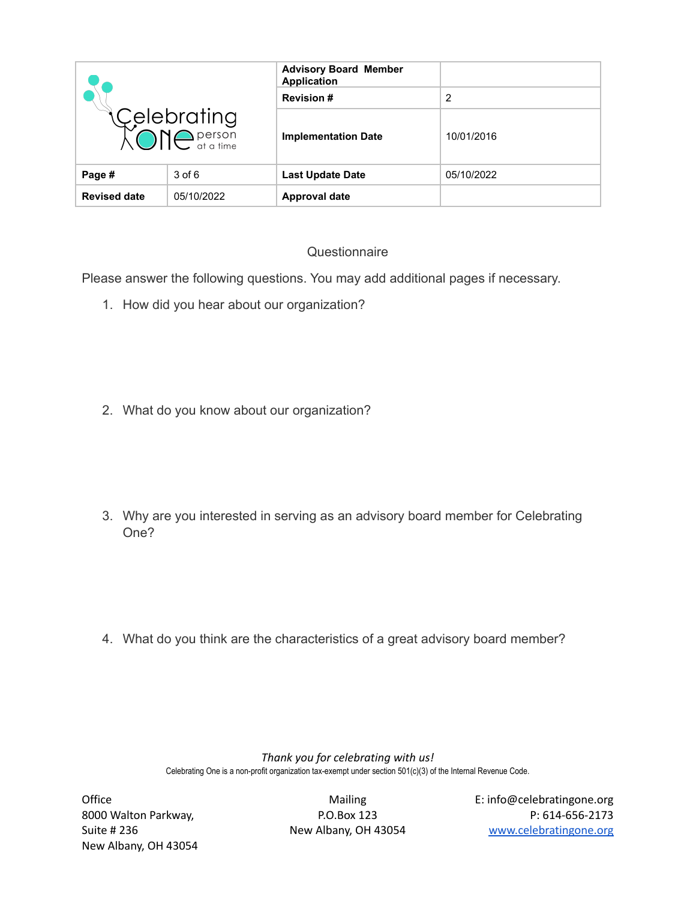| Celebrating<br>XONC <sup>person</sup> |            | <b>Advisory Board Member</b><br><b>Application</b> |            |
|---------------------------------------|------------|----------------------------------------------------|------------|
|                                       |            | <b>Revision #</b>                                  | 2          |
|                                       |            | <b>Implementation Date</b>                         | 10/01/2016 |
| Page #                                | $3$ of $6$ | <b>Last Update Date</b>                            | 05/10/2022 |
| <b>Revised date</b>                   | 05/10/2022 | <b>Approval date</b>                               |            |

# **Questionnaire**

Please answer the following questions. You may add additional pages if necessary.

- 1. How did you hear about our organization?
- 2. What do you know about our organization?
- 3. Why are you interested in serving as an advisory board member for Celebrating One?

4. What do you think are the characteristics of a great advisory board member?

*Thank you for celebrating with us!* Celebrating One is a non-profit organization tax-exempt under section 501(c)(3) of the Internal Revenue Code.

New Albany, OH 43054

Office **Contract Contract Contract Contract Contract Contract Contract Contract Contract Contract Contract Contract Contract Contract Contract Contract Contract Contract Contract Contract Contract Contract Contract Contrac** 8000 Walton Parkway, P.O.Box 123 P: 614-656-2173 Suite # 236 New Albany, OH 43054 [www.celebratingone.org](http://www.celebratingone.org)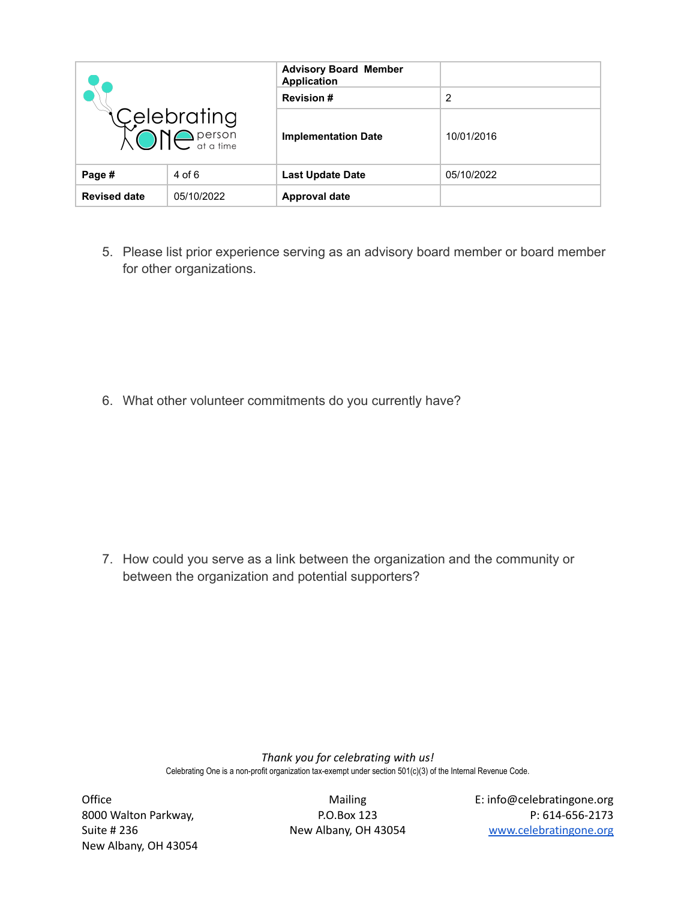| Celebrating<br>XONC <sup>person</sup> |            | <b>Advisory Board Member</b><br><b>Application</b> |            |
|---------------------------------------|------------|----------------------------------------------------|------------|
|                                       |            | <b>Revision #</b>                                  | 2          |
|                                       |            | <b>Implementation Date</b>                         | 10/01/2016 |
| Page #                                | 4 of 6     | <b>Last Update Date</b>                            | 05/10/2022 |
| <b>Revised date</b>                   | 05/10/2022 | <b>Approval date</b>                               |            |

5. Please list prior experience serving as an advisory board member or board member for other organizations.

6. What other volunteer commitments do you currently have?

7. How could you serve as a link between the organization and the community or between the organization and potential supporters?

> *Thank you for celebrating with us!* Celebrating One is a non-profit organization tax-exempt under section 501(c)(3) of the Internal Revenue Code.

New Albany, OH 43054

Office **Contracts Contracts** Mailing E: info@celebratingone.org 8000 Walton Parkway, P.O.Box 123 P: 614-656-2173 Suite # 236 New Albany, OH 43054 [www.celebratingone.org](http://www.celebratingone.org)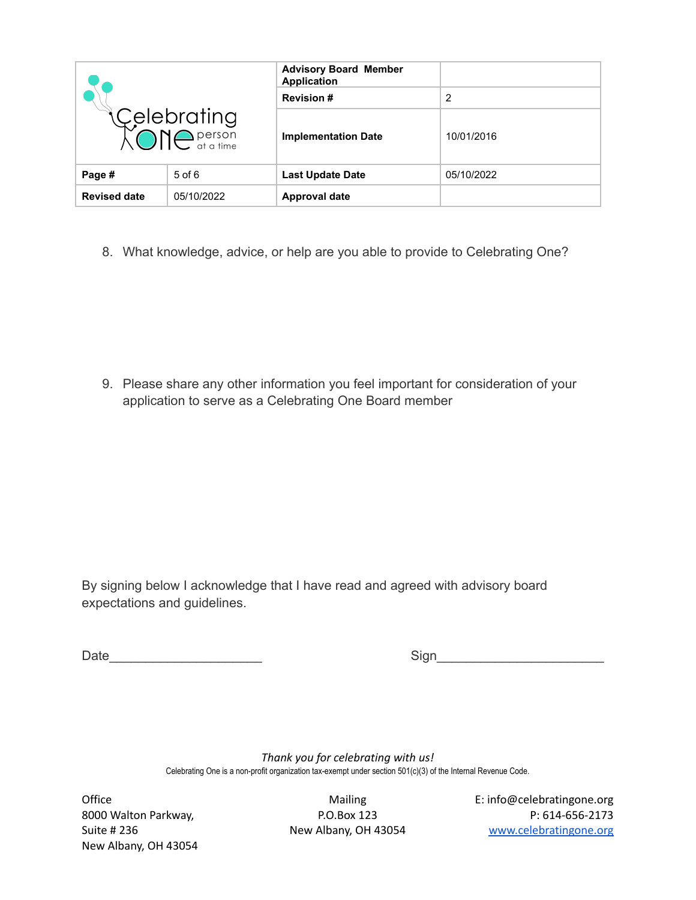| Celebrating<br>XONC <sup>person</sup> |            | <b>Advisory Board Member</b><br><b>Application</b> |            |
|---------------------------------------|------------|----------------------------------------------------|------------|
|                                       |            | <b>Revision#</b>                                   | 2          |
|                                       |            | <b>Implementation Date</b>                         | 10/01/2016 |
| Page #                                | $5$ of $6$ | <b>Last Update Date</b>                            | 05/10/2022 |
| <b>Revised date</b>                   | 05/10/2022 | <b>Approval date</b>                               |            |

8. What knowledge, advice, or help are you able to provide to Celebrating One?

9. Please share any other information you feel important for consideration of your application to serve as a Celebrating One Board member

By signing below I acknowledge that I have read and agreed with advisory board expectations and guidelines.

Date\_\_\_\_\_\_\_\_\_\_\_\_\_\_\_\_\_\_\_\_\_ Sign\_\_\_\_\_\_\_\_\_\_\_\_\_\_\_\_\_\_\_\_\_\_\_

*Thank you for celebrating with us!* Celebrating One is a non-profit organization tax-exempt under section 501(c)(3) of the Internal Revenue Code.

New Albany, OH 43054

Office **Contract Contract Contract Contract Contract Contract Contract Contract Contract Contract Contract Contract Contract Contract Contract Contract Contract Contract Contract Contract Contract Contract Contract Contrac** 8000 Walton Parkway, P.O.Box 123 P: 614-656-2173 Suite # 236 New Albany, OH 43054 [www.celebratingone.org](http://www.celebratingone.org)